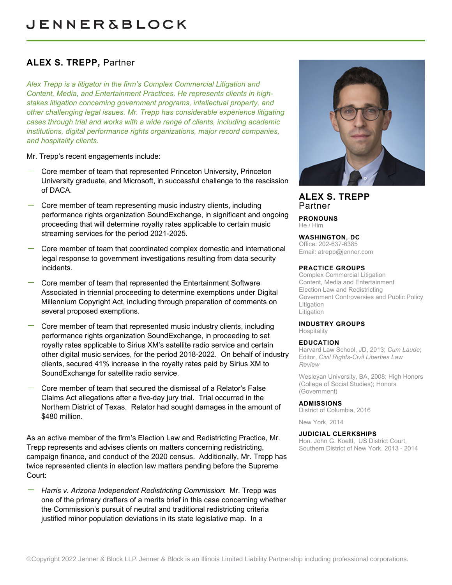# **ALEX S. TREPP,** Partner

*Alex Trepp is a litigator in the firm's Complex Commercial Litigation and Content, Media, and Entertainment Practices. He represents clients in highstakes litigation concerning government programs, intellectual property, and other challenging legal issues. Mr. Trepp has considerable experience litigating cases through trial and works with a wide range of clients, including academic institutions, digital performance rights organizations, major record companies, and hospitality clients.*

Mr. Trepp's recent engagements include:

- Core member of team that represented Princeton University, Princeton University graduate, and Microsoft, in successful challenge to the rescission of DACA.
- Core member of team representing music industry clients, including performance rights organization SoundExchange, in significant and ongoing proceeding that will determine royalty rates applicable to certain music streaming services for the period 2021-2025.
- Core member of team that coordinated complex domestic and international legal response to government investigations resulting from data security incidents.
- Core member of team that represented the Entertainment Software Associated in triennial proceeding to determine exemptions under Digital Millennium Copyright Act, including through preparation of comments on several proposed exemptions.
- Core member of team that represented music industry clients, including performance rights organization SoundExchange, in proceeding to set royalty rates applicable to Sirius XM's satellite radio service and certain other digital music services, for the period 2018-2022. On behalf of industry clients, secured 41% increase in the royalty rates paid by Sirius XM to SoundExchange for satellite radio service.
- Core member of team that secured the dismissal of a Relator's False Claims Act allegations after a five-day jury trial. Trial occurred in the Northern District of Texas. Relator had sought damages in the amount of \$480 million.

As an active member of the firm's Election Law and Redistricting Practice, Mr. Trepp represents and advises clients on matters concerning redistricting, campaign finance, and conduct of the 2020 census. Additionally, Mr. Trepp has twice represented clients in election law matters pending before the Supreme Court:

*Harris v. Arizona Independent Redistricting Commission*: Mr. Trepp was one of the primary drafters of a merits brief in this case concerning whether the Commission's pursuit of neutral and traditional redistricting criteria justified minor population deviations in its state legislative map. In a



**ALEX S. TREPP** Partner

**PRONOUNS** He / Him

# **WASHINGTON, DC**

Office: 202-637-6385 Email: [atrepp@jenner.com](mailto:atrepp@jenner.com)

# **PRACTICE GROUPS**

Complex Commercial Litigation Content, Media and Entertainment Election Law and Redistricting Government Controversies and Public Policy Litigation Litigation

# **INDUSTRY GROUPS**

**Hospitality** 

# **EDUCATION**

Harvard Law School, JD, 2013; *Cum Laude*; Editor, *Civil Rights-Civil Liberties Law Review*

Wesleyan University, BA, 2008; High Honors (College of Social Studies); Honors (Government)

# **ADMISSIONS**

District of Columbia, 2016

New York, 2014

# **JUDICIAL CLERKSHIPS**

Hon. John G. Koeltl, US District Court, Southern District of New York, 2013 - 2014